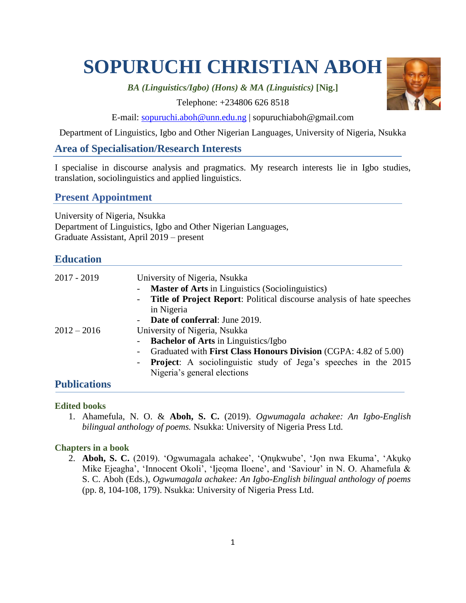# **SOPURUCHI CHRISTIAN ABOH**

*BA (Linguistics/Igbo) (Hons) & MA (Linguistics)* **[Nig.]**

Telephone: +234806 626 8518



E-mail: [sopuruchi.aboh@unn.edu.ng](mailto:sopuruchi.aboh@unn.edu.ng) | sopuruchiaboh@gmail.com

Department of Linguistics, Igbo and Other Nigerian Languages, University of Nigeria, Nsukka

## **Area of Specialisation/Research Interests**

I specialise in discourse analysis and pragmatics. My research interests lie in Igbo studies, translation, sociolinguistics and applied linguistics.

## **Present Appointment**

University of Nigeria, Nsukka Department of Linguistics, Igbo and Other Nigerian Languages, Graduate Assistant, April 2019 – present

## **Education**

| $2017 - 2019$       | University of Nigeria, Nsukka                                                           |
|---------------------|-----------------------------------------------------------------------------------------|
|                     | <b>Master of Arts</b> in Linguistics (Sociolinguistics)<br>$\qquad \qquad \blacksquare$ |
|                     | <b>Title of Project Report:</b> Political discourse analysis of hate speeches<br>$-$    |
|                     | in Nigeria                                                                              |
|                     | <b>Date of conferral:</b> June 2019.<br>$\overline{\phantom{a}}$                        |
| $2012 - 2016$       | University of Nigeria, Nsukka                                                           |
|                     | <b>Bachelor of Arts in Linguistics/Igbo</b><br>$\sim$                                   |
|                     | Graduated with First Class Honours Division (CGPA: 4.82 of 5.00)<br>-                   |
|                     | <b>Project:</b> A sociolinguistic study of Jega's speeches in the 2015<br>$\sim$        |
|                     | Nigeria's general elections                                                             |
| <b>Dublications</b> |                                                                                         |

## **Publications**

#### **Edited books**

1. Ahamefula, N. O. & **Aboh, S. C.** (2019). *Ogwumagala achakee: An Igbo-English bilingual anthology of poems.* Nsukka: University of Nigeria Press Ltd.

#### **Chapters in a book**

2. **Aboh, S. C.** (2019). 'Ogwumagala achakee', 'Ọnụkwube', 'Jọn nwa Ekuma', 'Akụkọ Mike Ejeagha', 'Innocent Okoli', 'Ijeọma Iloene', and 'Saviour' in N. O. Ahamefula & S. C. Aboh (Eds.), *Ogwumagala achakee: An Igbo-English bilingual anthology of poems*  (pp. 8, 104-108, 179). Nsukka: University of Nigeria Press Ltd.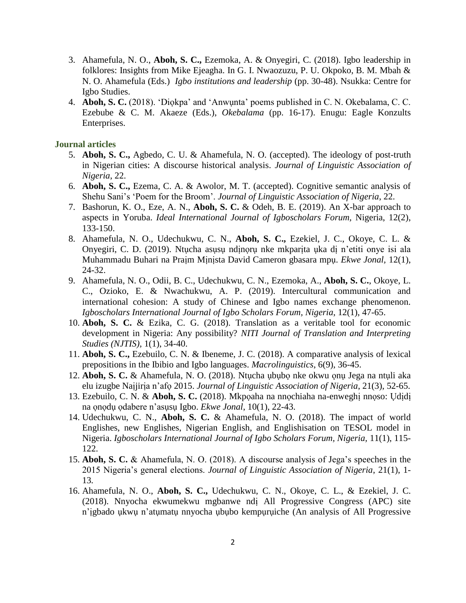- 3. Ahamefula, N. O., **Aboh, S. C.,** Ezemoka, A. & Onyegiri, C. (2018). Igbo leadership in folklores: Insights from Mike Ejeagha. In G. I. Nwaozuzu, P. U. Okpoko, B. M. Mbah & N. O. Ahamefula (Eds.) *Igbo institutions and leadership* (pp. 30-48). Nsukka: Centre for Igbo Studies.
- 4. **Aboh, S. C.** (2018). 'Diọkpa' and 'Anwụnta' poems published in C. N. Okebalama, C. C. Ezebube & C. M. Akaeze (Eds.), *Okebalama* (pp. 16-17). Enugu: Eagle Konzults Enterprises.

#### **Journal articles**

- 5. **Aboh, S. C.,** Agbedo, C. U. & Ahamefula, N. O. (accepted). The ideology of post-truth in Nigerian cities: A discourse historical analysis. *Journal of Linguistic Association of Nigeria*, 22.
- 6. **Aboh, S. C.,** Ezema, C. A. & Awolor, M. T. (accepted). Cognitive semantic analysis of Shehu Sani's 'Poem for the Broom'. *Journal of Linguistic Association of Nigeria*, 22.
- 7. Bashorun, K. O., Eze, A. N., **Aboh, S. C.** & Odeh, B. E. (2019). An X-bar approach to aspects in Yoruba. *Ideal International Journal of Igboscholars Forum,* Nigeria, 12(2), 133-150.
- 8. Ahamefula, N. O., Udechukwu, C. N., **Aboh, S. C.,** Ezekiel, J. C., Okoye, C. L. & Onyegiri, C. D. (2019). Ntụcha asụsụ ndịnọrụ nke mkparịta ụka dị n'etiti onye isi ala Muhammadu Buhari na Praịm Mịnịsta David Cameron gbasara mpụ. *Ekwe Jonal,* 12(1), 24-32.
- 9. Ahamefula, N. O., Odii, B. C., Udechukwu, C. N., Ezemoka, A., **Aboh, S. C.**, Okoye, L. C., Ozioko, E. & Nwachukwu, A. P. (2019). Intercultural communication and international cohesion: A study of Chinese and Igbo names exchange phenomenon. *Igboscholars International Journal of Igbo Scholars Forum, Nigeria*, 12(1), 47-65.
- 10. **Aboh, S. C.** & Ezika, C. G. (2018). Translation as a veritable tool for economic development in Nigeria: Any possibility? *NITI Journal of Translation and Interpreting Studies (NJTIS),* 1(1), 34-40.
- 11. **Aboh, S. C.,** Ezebuilo, C. N. & Ibeneme, J. C. (2018). A comparative analysis of lexical prepositions in the Ibibio and Igbo languages. *Macrolinguistics*, 6(9), 36-45.
- 12. **Aboh, S. C.** & Ahamefula, N. O. (2018). Ntụcha ụbụbọ nke okwu ọnụ Jega na ntụli aka elu izugbe Naịjirịa n'afọ 2015. *Journal of Linguistic Association of Nigeria*, 21(3), 52-65.
- 13. Ezebuilo, C. N. & **Aboh, S. C.** (2018). Mkpọaha na nnọchiaha na-enweghị nnọso: Ụdịdị na ọnọdụ ọdabere n'asụsụ Igbo. *Ekwe Jonal*, 10(1), 22-43.
- 14. Udechukwu, C. N., **Aboh, S. C.** & Ahamefula, N. O. (2018). The impact of world Englishes, new Englishes, Nigerian English, and Englishisation on TESOL model in Nigeria. *Igboscholars International Journal of Igbo Scholars Forum, Nigeria,* 11(1), 115- 122.
- 15. **Aboh, S. C.** & Ahamefula, N. O. (2018). A discourse analysis of Jega's speeches in the 2015 Nigeria's general elections. *Journal of Linguistic Association of Nigeria*, 21(1), 1- 13*.*
- 16. Ahamefula, N. O., **Aboh, S. C.,** Udechukwu, C. N., Okoye, C. L., & Ezekiel, J. C. (2018). Nnyocha ekwumekwu mgbanwe ndị All Progressive Congress (APC) site n'ịgbado ụkwụ n'atụmatụ nnyocha ụbụbo kempụrụiche (An analysis of All Progressive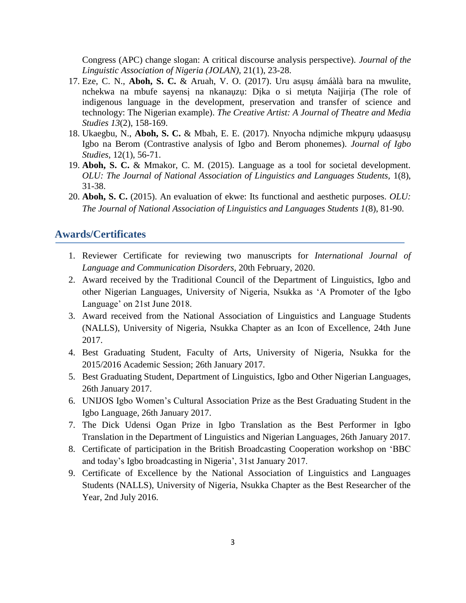Congress (APC) change slogan: A critical discourse analysis perspective). *Journal of the Linguistic Association of Nigeria (JOLAN)*, 21(1), 23-28.

- 17. Eze, C. N., **Aboh, S. C.** & Aruah, V. O. (2017). Uru asụsụ ámáàlà bara na mwulite, nchekwa na mbufe sayensị na nkanaụzụ: Dịka o si metụta Naịjirịa (The role of indigenous language in the development, preservation and transfer of science and technology: The Nigerian example). *The Creative Artist: A Journal of Theatre and Media Studies 13*(2), 158-169.
- 18. Ukaegbu, N., **Aboh, S. C.** & Mbah, E. E. (2017). Nnyocha ndịmiche mkpụrụ ụdaasụsụ Igbo na Berom (Contrastive analysis of Igbo and Berom phonemes). *Journal of Igbo Studies,* 12(1), 56-71.
- 19. **Aboh, S. C.** & Mmakor, C. M. (2015). Language as a tool for societal development. *OLU: The Journal of National Association of Linguistics and Languages Students, 1(8),* 31-38.
- 20. **Aboh, S. C.** (2015). An evaluation of ekwe: Its functional and aesthetic purposes. *OLU: The Journal of National Association of Linguistics and Languages Students 1*(8), 81-90.

## **Awards/Certificates**

- 1. Reviewer Certificate for reviewing two manuscripts for *International Journal of Language and Communication Disorders,* 20th February, 2020.
- 2. Award received by the Traditional Council of the Department of Linguistics, Igbo and other Nigerian Languages, University of Nigeria, Nsukka as 'A Promoter of the Igbo Language' on 21st June 2018.
- 3. Award received from the National Association of Linguistics and Language Students (NALLS), University of Nigeria, Nsukka Chapter as an Icon of Excellence, 24th June 2017.
- 4. Best Graduating Student, Faculty of Arts, University of Nigeria, Nsukka for the 2015/2016 Academic Session; 26th January 2017.
- 5. Best Graduating Student, Department of Linguistics, Igbo and Other Nigerian Languages, 26th January 2017.
- 6. UNIJOS Igbo Women's Cultural Association Prize as the Best Graduating Student in the Igbo Language, 26th January 2017.
- 7. The Dick Udensi Ogan Prize in Igbo Translation as the Best Performer in Igbo Translation in the Department of Linguistics and Nigerian Languages, 26th January 2017.
- 8. Certificate of participation in the British Broadcasting Cooperation workshop on 'BBC and today's Igbo broadcasting in Nigeria', 31st January 2017.
- 9. Certificate of Excellence by the National Association of Linguistics and Languages Students (NALLS), University of Nigeria, Nsukka Chapter as the Best Researcher of the Year, 2nd July 2016.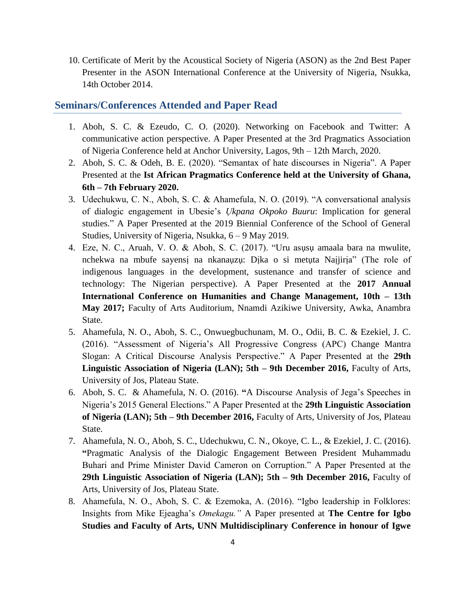10. Certificate of Merit by the Acoustical Society of Nigeria (ASON) as the 2nd Best Paper Presenter in the ASON International Conference at the University of Nigeria, Nsukka, 14th October 2014.

## **Seminars/Conferences Attended and Paper Read**

- 1. Aboh, S. C. & Ezeudo, C. O. (2020). Networking on Facebook and Twitter: A communicative action perspective. A Paper Presented at the 3rd Pragmatics Association of Nigeria Conference held at Anchor University, Lagos, 9th – 12th March, 2020.
- 2. Aboh, S. C. & Odeh, B. E. (2020). "Semantax of hate discourses in Nigeria". A Paper Presented at the **Ist African Pragmatics Conference held at the University of Ghana, 6th – 7th February 2020.**
- 3. Udechukwu, C. N., Aboh, S. C. & Ahamefula, N. O. (2019). "A conversational analysis of dialogic engagement in Ubesie's *Ụkpana Okpoko Buuru*: Implication for general studies." A Paper Presented at the 2019 Biennial Conference of the School of General Studies, University of Nigeria, Nsukka, 6 – 9 May 2019.
- 4. Eze, N. C., Aruah, V. O. & Aboh, S. C. (2017). "Uru asụsụ amaala bara na mwulite, nchekwa na mbufe sayensị na nkanaụzụ: Dịka o si metụta Naịjirịa" (The role of indigenous languages in the development, sustenance and transfer of science and technology: The Nigerian perspective). A Paper Presented at the **2017 Annual International Conference on Humanities and Change Management, 10th – 13th May 2017;** Faculty of Arts Auditorium, Nnamdi Azikiwe University, Awka, Anambra State.
- 5. Ahamefula, N. O., Aboh, S. C., Onwuegbuchunam, M. O., Odii, B. C. & Ezekiel, J. C. (2016). "Assessment of Nigeria's All Progressive Congress (APC) Change Mantra Slogan: A Critical Discourse Analysis Perspective." A Paper Presented at the **29th Linguistic Association of Nigeria (LAN); 5th – 9th December 2016,** Faculty of Arts, University of Jos, Plateau State.
- 6. Aboh, S. C. & Ahamefula, N. O. (2016). **"**A Discourse Analysis of Jega's Speeches in Nigeria's 2015 General Elections." A Paper Presented at the **29th Linguistic Association of Nigeria (LAN); 5th – 9th December 2016,** Faculty of Arts, University of Jos, Plateau State.
- 7. Ahamefula, N. O., Aboh, S. C., Udechukwu, C. N., Okoye, C. L., & Ezekiel, J. C. (2016). **"**Pragmatic Analysis of the Dialogic Engagement Between President Muhammadu Buhari and Prime Minister David Cameron on Corruption." A Paper Presented at the **29th Linguistic Association of Nigeria (LAN); 5th – 9th December 2016,** Faculty of Arts, University of Jos, Plateau State.
- 8. Ahamefula, N. O., Aboh, S. C. & Ezemoka, A. (2016). "Igbo leadership in Folklores: Insights from Mike Ejeagha's *Omekagu."* A Paper presented at **The Centre for Igbo Studies and Faculty of Arts, UNN Multidisciplinary Conference in honour of Igwe**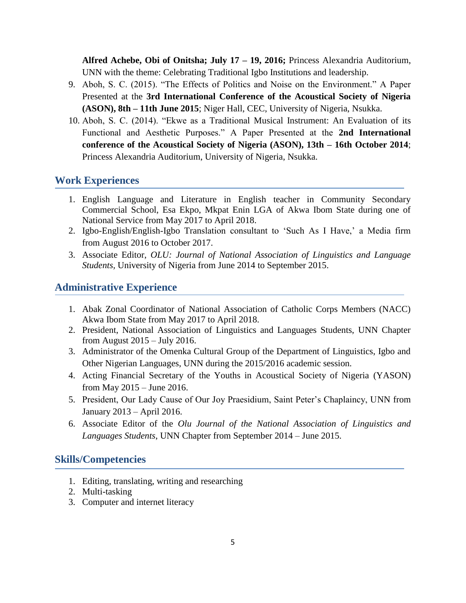**Alfred Achebe, Obi of Onitsha; July 17 – 19, 2016;** Princess Alexandria Auditorium, UNN with the theme: Celebrating Traditional Igbo Institutions and leadership.

- 9. Aboh, S. C. (2015). "The Effects of Politics and Noise on the Environment." A Paper Presented at the **3rd International Conference of the Acoustical Society of Nigeria (ASON), 8th – 11th June 2015**; Niger Hall, CEC, University of Nigeria, Nsukka.
- 10. Aboh, S. C. (2014). "Ekwe as a Traditional Musical Instrument: An Evaluation of its Functional and Aesthetic Purposes." A Paper Presented at the **2nd International conference of the Acoustical Society of Nigeria (ASON), 13th – 16th October 2014**; Princess Alexandria Auditorium, University of Nigeria, Nsukka.

#### **Work Experiences**

- 1. English Language and Literature in English teacher in Community Secondary Commercial School, Esa Ekpo, Mkpat Enin LGA of Akwa Ibom State during one of National Service from May 2017 to April 2018.
- 2. Igbo-English/English-Igbo Translation consultant to 'Such As I Have,' a Media firm from August 2016 to October 2017.
- 3. Associate Editor, *OLU: Journal of National Association of Linguistics and Language Students,* University of Nigeria from June 2014 to September 2015.

#### **Administrative Experience**

- 1. Abak Zonal Coordinator of National Association of Catholic Corps Members (NACC) Akwa Ibom State from May 2017 to April 2018.
- 2. President, National Association of Linguistics and Languages Students, UNN Chapter from August 2015 – July 2016.
- 3. Administrator of the Omenka Cultural Group of the Department of Linguistics, Igbo and Other Nigerian Languages, UNN during the 2015/2016 academic session.
- 4. Acting Financial Secretary of the Youths in Acoustical Society of Nigeria (YASON) from May 2015 – June 2016.
- 5. President, Our Lady Cause of Our Joy Praesidium, Saint Peter's Chaplaincy, UNN from January 2013 – April 2016.
- 6. Associate Editor of the *Olu Journal of the National Association of Linguistics and Languages Students*, UNN Chapter from September 2014 – June 2015.

#### **Skills/Competencies**

- 1. Editing, translating, writing and researching
- 2. Multi-tasking
- 3. Computer and internet literacy